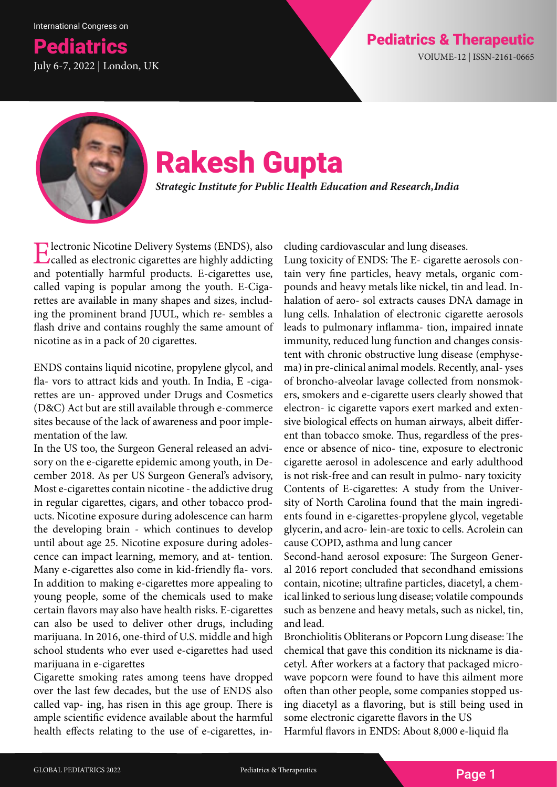## **Pediatrics Pediatrics American Control Control Control Pediatrics & Therapeutic Pediatrics American Control Control Control Pediatrics American Control Control Control Control Pediatrics American Control Control Control C** July 6-7, 2022 | London, UK



# Rakesh Gupta

*Strategic Institute for Public Health Education and Research, India*

Electronic Nicotine Delivery Systems (ENDS), also called as electronic cigarettes are highly addicting and potentially harmful products. E-cigarettes use, called vaping is popular among the youth. E-Cigarettes are available in many shapes and sizes, including the prominent brand JUUL, which re- sembles a flash drive and contains roughly the same amount of nicotine as in a pack of 20 cigarettes.

ENDS contains liquid nicotine, propylene glycol, and fla- vors to attract kids and youth. In India, E -cigarettes are un- approved under Drugs and Cosmetics (D&C) Act but are still available through e-commerce sites because of the lack of awareness and poor implementation of the law.

In the US too, the Surgeon General released an advisory on the e-cigarette epidemic among youth, in December 2018. As per US Surgeon General's advisory, Most e-cigarettes contain nicotine - the addictive drug in regular cigarettes, cigars, and other tobacco products. Nicotine exposure during adolescence can harm the developing brain - which continues to develop until about age 25. Nicotine exposure during adolescence can impact learning, memory, and at- tention. Many e-cigarettes also come in kid-friendly fla- vors. In addition to making e-cigarettes more appealing to young people, some of the chemicals used to make certain flavors may also have health risks. E-cigarettes can also be used to deliver other drugs, including marijuana. In 2016, one-third of U.S. middle and high school students who ever used e-cigarettes had used marijuana in e-cigarettes

Cigarette smoking rates among teens have dropped over the last few decades, but the use of ENDS also called vap- ing, has risen in this age group. There is ample scientific evidence available about the harmful health effects relating to the use of e-cigarettes, including cardiovascular and lung diseases.

Lung toxicity of ENDS: The E- cigarette aerosols contain very fine particles, heavy metals, organic compounds and heavy metals like nickel, tin and lead. Inhalation of aero- sol extracts causes DNA damage in lung cells. Inhalation of electronic cigarette aerosols leads to pulmonary inflamma- tion, impaired innate immunity, reduced lung function and changes consistent with chronic obstructive lung disease (emphysema) in pre-clinical animal models. Recently, anal- yses of broncho-alveolar lavage collected from nonsmokers, smokers and e-cigarette users clearly showed that electron- ic cigarette vapors exert marked and extensive biological effects on human airways, albeit different than tobacco smoke. Thus, regardless of the presence or absence of nico- tine, exposure to electronic cigarette aerosol in adolescence and early adulthood is not risk-free and can result in pulmo- nary toxicity Contents of E-cigarettes: A study from the University of North Carolina found that the main ingredients found in e-cigarettes-propylene glycol, vegetable glycerin, and acro- lein-are toxic to cells. Acrolein can cause COPD, asthma and lung cancer

Second-hand aerosol exposure: The Surgeon General 2016 report concluded that secondhand emissions contain, nicotine; ultrafine particles, diacetyl, a chemical linked to serious lung disease; volatile compounds such as benzene and heavy metals, such as nickel, tin, and lead.

Bronchiolitis Obliterans or Popcorn Lung disease: The chemical that gave this condition its nickname is diacetyl. After workers at a factory that packaged microwave popcorn were found to have this ailment more often than other people, some companies stopped using diacetyl as a flavoring, but is still being used in some electronic cigarette flavors in the US

Harmful flavors in ENDS: About 8,000 e-liquid fla